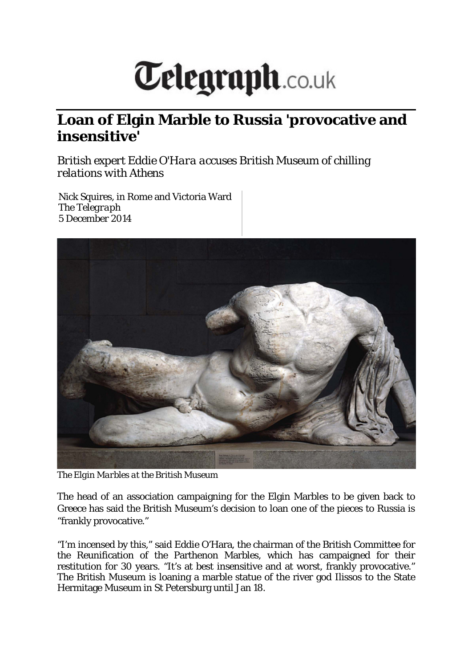## **Telegraph.co.uk**

## **Loan of Elgin Marble to Russia 'provocative and insensitive'**

*British expert Eddie O'Hara accuses British Museum of chilling relations with Athens*

Nick Squires, in Rome and Victoria Ward The *Telegraph* 5 December 2014



*The Elgin Marbles at the British Museum*

The head of an association campaigning for the Elgin Marbles to be given back to Greece has said the British Museum's decision to loan one of the pieces to Russia is "frankly provocative."

"I'm incensed by this," said Eddie O'Hara, the chairman of the British Committee for the Reunification of the Parthenon Marbles, which has campaigned for their restitution for 30 years. "It's at best insensitive and at worst, frankly provocative." The British Museum is loaning a marble statue of the river god Ilissos to the State Hermitage Museum in St Petersburg until Jan 18.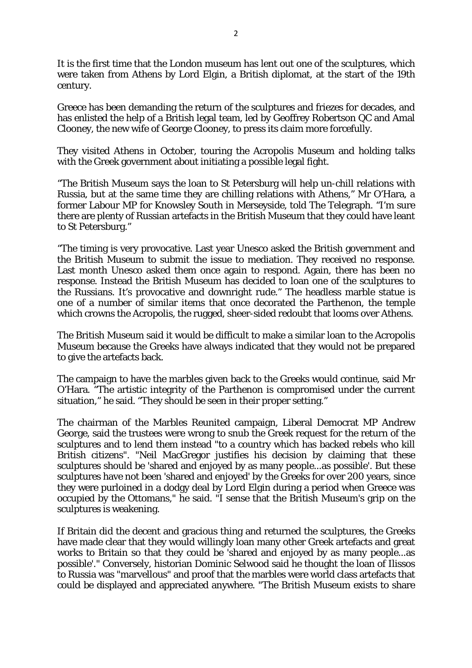It is the first time that the London museum has lent out one of the sculptures, which were taken from Athens by Lord Elgin, a British diplomat, at the start of the 19th century.

Greece has been demanding the return of the sculptures and friezes for decades, and has enlisted the help of a British legal team, led by Geoffrey Robertson QC and Amal Clooney, the new wife of George Clooney, to press its claim more forcefully.

They visited Athens in October, touring the Acropolis Museum and holding talks with the Greek government about initiating a possible legal fight.

"The British Museum says the loan to St Petersburg will help un-chill relations with Russia, but at the same time they are chilling relations with Athens," Mr O'Hara, a former Labour MP for Knowsley South in Merseyside, told The Telegraph. "I'm sure there are plenty of Russian artefacts in the British Museum that they could have leant to St Petersburg."

"The timing is very provocative. Last year Unesco asked the British government and the British Museum to submit the issue to mediation. They received no response. Last month Unesco asked them once again to respond. Again, there has been no response. Instead the British Museum has decided to loan one of the sculptures to the Russians. It's provocative and downright rude." The headless marble statue is one of a number of similar items that once decorated the Parthenon, the temple which crowns the Acropolis, the rugged, sheer-sided redoubt that looms over Athens.

The British Museum said it would be difficult to make a similar loan to the Acropolis Museum because the Greeks have always indicated that they would not be prepared to give the artefacts back.

The campaign to have the marbles given back to the Greeks would continue, said Mr O'Hara. "The artistic integrity of the Parthenon is compromised under the current situation," he said. "They should be seen in their proper setting."

The chairman of the Marbles Reunited campaign, Liberal Democrat MP Andrew George, said the trustees were wrong to snub the Greek request for the return of the sculptures and to lend them instead "to a country which has backed rebels who kill British citizens". "Neil MacGregor justifies his decision by claiming that these sculptures should be 'shared and enjoyed by as many people...as possible'. But these sculptures have not been 'shared and enjoyed' by the Greeks for over 200 years, since they were purloined in a dodgy deal by Lord Elgin during a period when Greece was occupied by the Ottomans," he said. "I sense that the British Museum's grip on the sculptures is weakening.

If Britain did the decent and gracious thing and returned the sculptures, the Greeks have made clear that they would willingly loan many other Greek artefacts and great works to Britain so that they could be 'shared and enjoyed by as many people...as possible'." Conversely, historian Dominic Selwood said he thought the loan of Ilissos to Russia was "marvellous" and proof that the marbles were world class artefacts that could be displayed and appreciated anywhere. "The British Museum exists to share